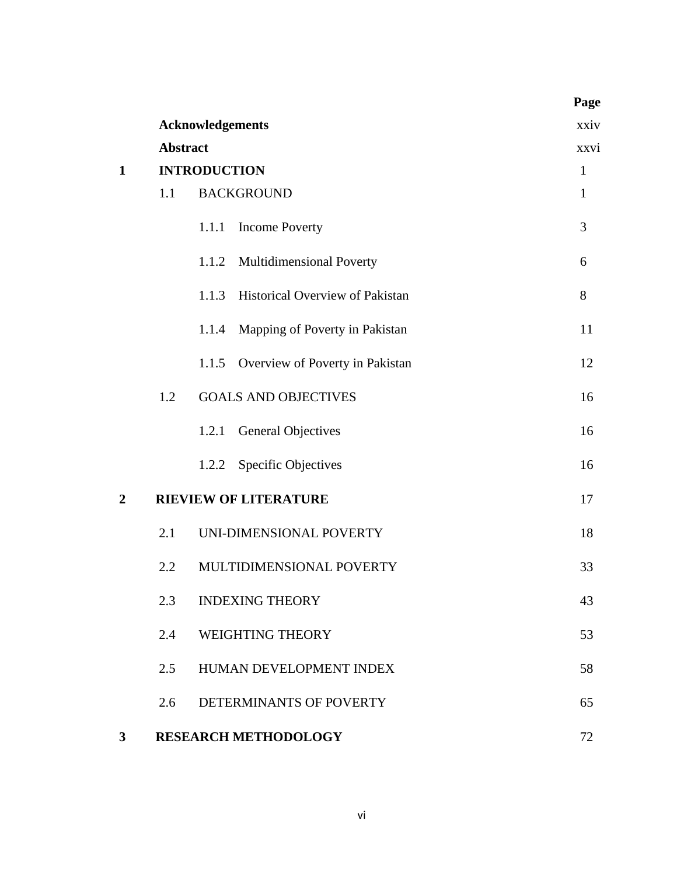|                  |                 |                         |                                 | Page         |
|------------------|-----------------|-------------------------|---------------------------------|--------------|
|                  |                 | <b>Acknowledgements</b> |                                 | xxiv         |
|                  | <b>Abstract</b> | xxvi                    |                                 |              |
| $\mathbf{1}$     |                 | <b>INTRODUCTION</b>     |                                 | $\mathbf{1}$ |
|                  | 1.1             |                         | <b>BACKGROUND</b>               | $\mathbf{1}$ |
|                  |                 | 1.1.1                   | <b>Income Poverty</b>           | 3            |
|                  |                 |                         | 1.1.2 Multidimensional Poverty  | 6            |
|                  |                 | 1.1.3                   | Historical Overview of Pakistan | 8            |
|                  |                 | 1.1.4                   | Mapping of Poverty in Pakistan  | 11           |
|                  |                 | 1.1.5                   | Overview of Poverty in Pakistan | 12           |
|                  | 1.2             |                         | <b>GOALS AND OBJECTIVES</b>     | 16           |
|                  |                 | 1.2.1                   | <b>General Objectives</b>       | 16           |
|                  |                 | 1.2.2                   | <b>Specific Objectives</b>      | 16           |
| $\boldsymbol{2}$ |                 |                         | <b>RIEVIEW OF LITERATURE</b>    | 17           |
|                  | 2.1             |                         | UNI-DIMENSIONAL POVERTY         | 18           |
|                  | 2.2             |                         | MULTIDIMENSIONAL POVERTY        | 33           |
|                  | 2.3             |                         | <b>INDEXING THEORY</b>          | 43           |
|                  | 2.4             |                         | <b>WEIGHTING THEORY</b>         | 53           |
|                  | 2.5             |                         | HUMAN DEVELOPMENT INDEX         | 58           |
|                  | 2.6             |                         | DETERMINANTS OF POVERTY         | 65           |
| $3^{\circ}$      |                 |                         | <b>RESEARCH METHODOLOGY</b>     | 72           |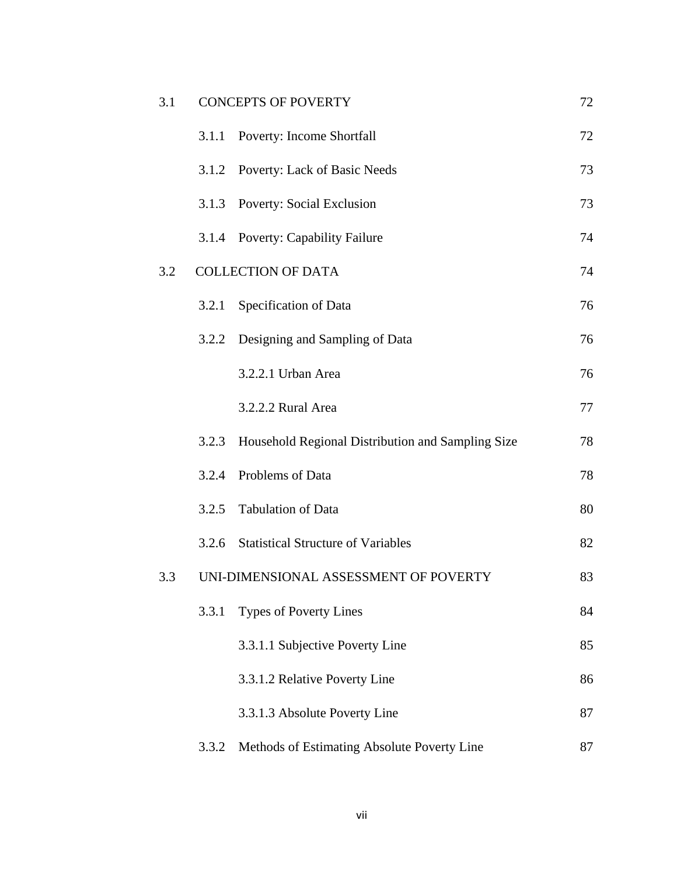| 3.1 |       | <b>CONCEPTS OF POVERTY</b>                        | 72 |
|-----|-------|---------------------------------------------------|----|
|     | 3.1.1 | <b>Poverty: Income Shortfall</b>                  | 72 |
|     | 3.1.2 | Poverty: Lack of Basic Needs                      | 73 |
|     | 3.1.3 | <b>Poverty: Social Exclusion</b>                  | 73 |
|     | 3.1.4 | <b>Poverty: Capability Failure</b>                | 74 |
| 3.2 |       | <b>COLLECTION OF DATA</b>                         | 74 |
|     | 3.2.1 | Specification of Data                             | 76 |
|     | 3.2.2 | Designing and Sampling of Data                    | 76 |
|     |       | 3.2.2.1 Urban Area                                | 76 |
|     |       | 3.2.2.2 Rural Area                                | 77 |
|     | 3.2.3 | Household Regional Distribution and Sampling Size | 78 |
|     | 3.2.4 | Problems of Data                                  | 78 |
|     | 3.2.5 | <b>Tabulation of Data</b>                         | 80 |
|     | 3.2.6 | <b>Statistical Structure of Variables</b>         | 82 |
| 3.3 |       | UNI-DIMENSIONAL ASSESSMENT OF POVERTY             | 83 |
|     | 3.3.1 | <b>Types of Poverty Lines</b>                     | 84 |
|     |       | 3.3.1.1 Subjective Poverty Line                   | 85 |
|     |       | 3.3.1.2 Relative Poverty Line                     | 86 |
|     |       | 3.3.1.3 Absolute Poverty Line                     | 87 |
|     | 3.3.2 | Methods of Estimating Absolute Poverty Line       | 87 |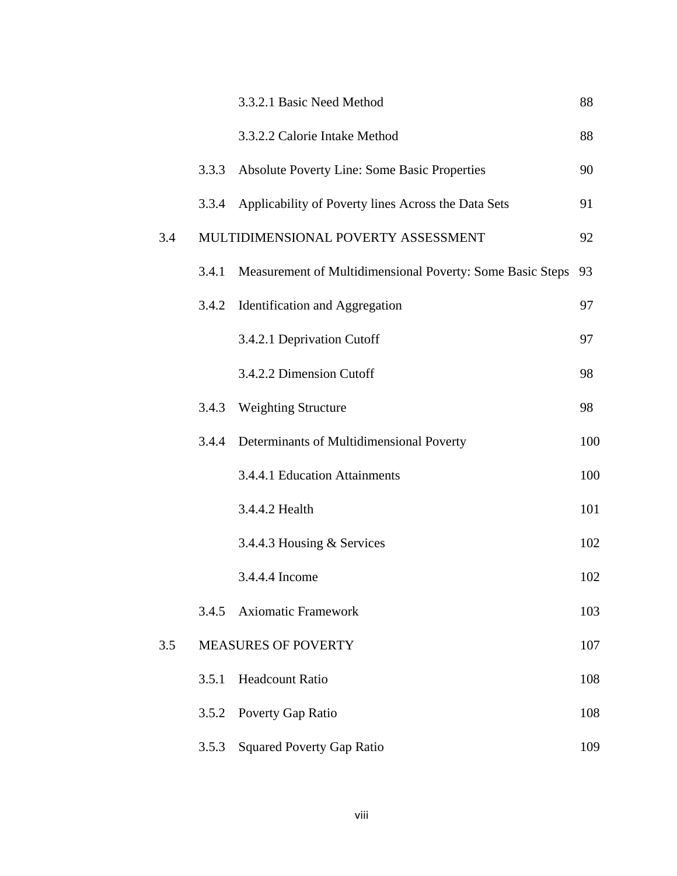|     |       | 3.3.2.1 Basic Need Method                                 | 88  |
|-----|-------|-----------------------------------------------------------|-----|
|     |       | 3.3.2.2 Calorie Intake Method                             | 88  |
|     | 3.3.3 | <b>Absolute Poverty Line: Some Basic Properties</b>       | 90  |
|     | 3.3.4 | Applicability of Poverty lines Across the Data Sets       | 91  |
| 3.4 |       | MULTIDIMENSIONAL POVERTY ASSESSMENT                       | 92  |
|     | 3.4.1 | Measurement of Multidimensional Poverty: Some Basic Steps | 93  |
|     | 3.4.2 | Identification and Aggregation                            | 97  |
|     |       | 3.4.2.1 Deprivation Cutoff                                | 97  |
|     |       | 3.4.2.2 Dimension Cutoff                                  | 98  |
|     | 3.4.3 | <b>Weighting Structure</b>                                | 98  |
|     | 3.4.4 | Determinants of Multidimensional Poverty                  | 100 |
|     |       | 3.4.4.1 Education Attainments                             | 100 |
|     |       | 3.4.4.2 Health                                            | 101 |
|     |       | 3.4.4.3 Housing & Services                                | 102 |
|     |       | 3.4.4.4 Income                                            | 102 |
|     | 3.4.5 | <b>Axiomatic Framework</b>                                | 103 |
| 3.5 |       | <b>MEASURES OF POVERTY</b>                                | 107 |
|     | 3.5.1 | <b>Headcount Ratio</b>                                    | 108 |
|     | 3.5.2 | Poverty Gap Ratio                                         | 108 |
|     | 3.5.3 | <b>Squared Poverty Gap Ratio</b>                          | 109 |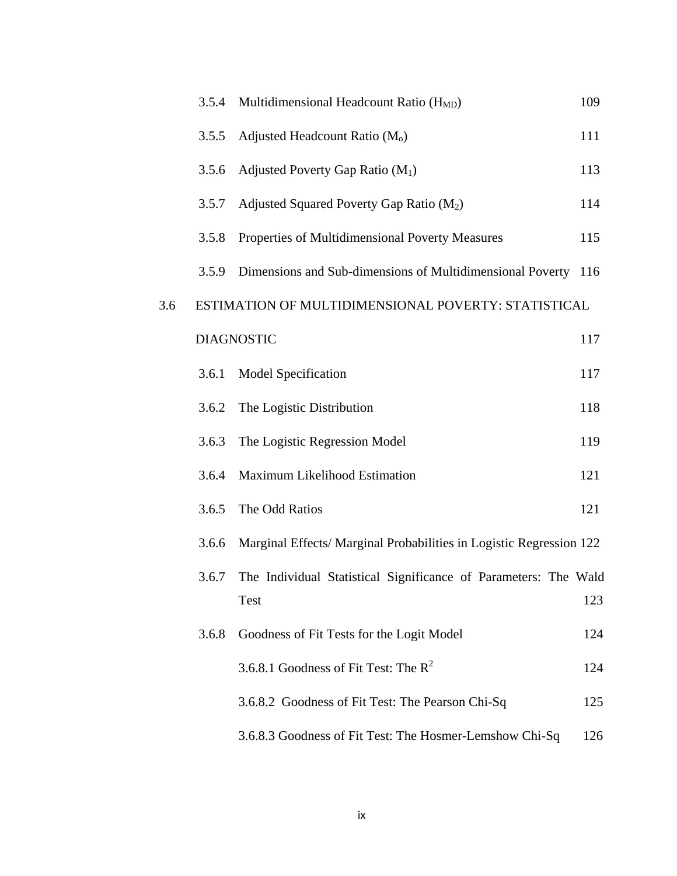|     | 3.5.4 | Multidimensional Headcount Ratio (H <sub>MD</sub> )                            | 109 |
|-----|-------|--------------------------------------------------------------------------------|-----|
|     | 3.5.5 | Adjusted Headcount Ratio (M <sub>o</sub> )                                     | 111 |
|     | 3.5.6 | Adjusted Poverty Gap Ratio $(M_1)$                                             | 113 |
|     | 3.5.7 | Adjusted Squared Poverty Gap Ratio $(M_2)$                                     | 114 |
|     | 3.5.8 | Properties of Multidimensional Poverty Measures                                | 115 |
|     | 3.5.9 | Dimensions and Sub-dimensions of Multidimensional Poverty                      | 116 |
| 3.6 |       | ESTIMATION OF MULTIDIMENSIONAL POVERTY: STATISTICAL                            |     |
|     |       | <b>DIAGNOSTIC</b>                                                              | 117 |
|     | 3.6.1 | <b>Model Specification</b>                                                     | 117 |
|     | 3.6.2 | The Logistic Distribution                                                      | 118 |
|     | 3.6.3 | The Logistic Regression Model                                                  | 119 |
|     | 3.6.4 | Maximum Likelihood Estimation                                                  | 121 |
|     | 3.6.5 | The Odd Ratios                                                                 | 121 |
|     | 3.6.6 | Marginal Effects/ Marginal Probabilities in Logistic Regression 122            |     |
|     | 3.6.7 | The Individual Statistical Significance of Parameters: The Wald<br><b>Test</b> | 123 |
|     | 3.6.8 | Goodness of Fit Tests for the Logit Model                                      | 124 |
|     |       | 3.6.8.1 Goodness of Fit Test: The $R^2$                                        | 124 |
|     |       | 3.6.8.2 Goodness of Fit Test: The Pearson Chi-Sq                               | 125 |
|     |       | 3.6.8.3 Goodness of Fit Test: The Hosmer-Lemshow Chi-Sq                        | 126 |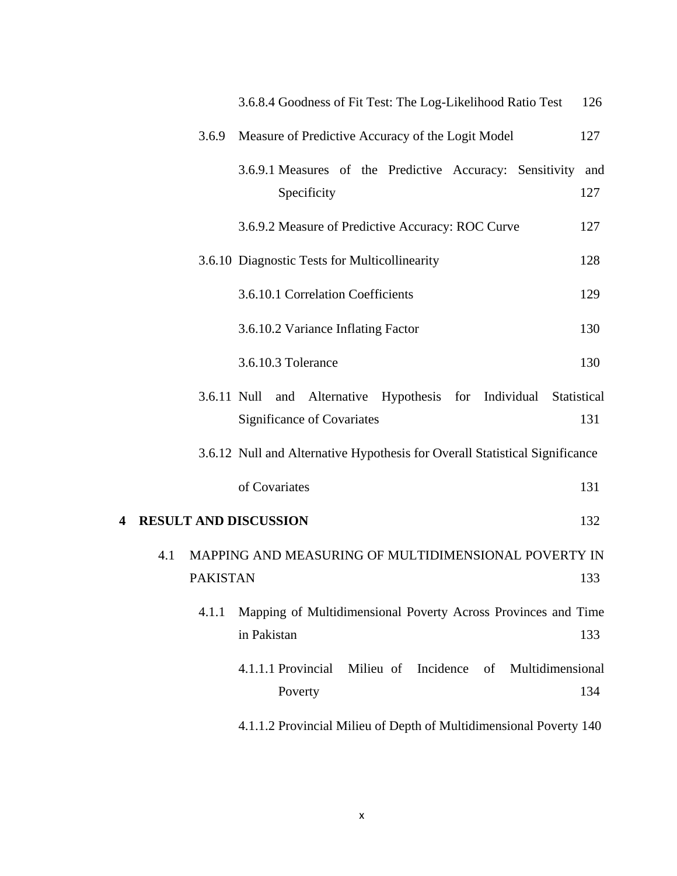|   |     |                 | 3.6.8.4 Goodness of Fit Test: The Log-Likelihood Ratio Test                                     | 126 |
|---|-----|-----------------|-------------------------------------------------------------------------------------------------|-----|
|   |     | 3.6.9           | Measure of Predictive Accuracy of the Logit Model                                               | 127 |
|   |     |                 | 3.6.9.1 Measures of the Predictive Accuracy: Sensitivity and<br>Specificity                     | 127 |
|   |     |                 | 3.6.9.2 Measure of Predictive Accuracy: ROC Curve                                               | 127 |
|   |     |                 | 3.6.10 Diagnostic Tests for Multicollinearity                                                   | 128 |
|   |     |                 | 3.6.10.1 Correlation Coefficients                                                               | 129 |
|   |     |                 | 3.6.10.2 Variance Inflating Factor                                                              | 130 |
|   |     |                 | 3.6.10.3 Tolerance                                                                              | 130 |
|   |     |                 | 3.6.11 Null and Alternative Hypothesis for Individual Statistical<br>Significance of Covariates | 131 |
|   |     |                 | 3.6.12 Null and Alternative Hypothesis for Overall Statistical Significance                     |     |
|   |     |                 | of Covariates                                                                                   | 131 |
| 4 |     |                 | <b>RESULT AND DISCUSSION</b>                                                                    | 132 |
|   | 4.1 |                 | MAPPING AND MEASURING OF MULTIDIMENSIONAL POVERTY IN                                            |     |
|   |     | <b>PAKISTAN</b> |                                                                                                 | 133 |
|   |     | 4.1.1           | Mapping of Multidimensional Poverty Across Provinces and Time                                   |     |
|   |     |                 | in Pakistan                                                                                     | 133 |
|   |     |                 | 4.1.1.1 Provincial<br>Milieu of Incidence<br>of<br>Multidimensional                             |     |
|   |     |                 | Poverty                                                                                         | 134 |
|   |     |                 | 4.1.1.2 Provincial Milieu of Depth of Multidimensional Poverty 140                              |     |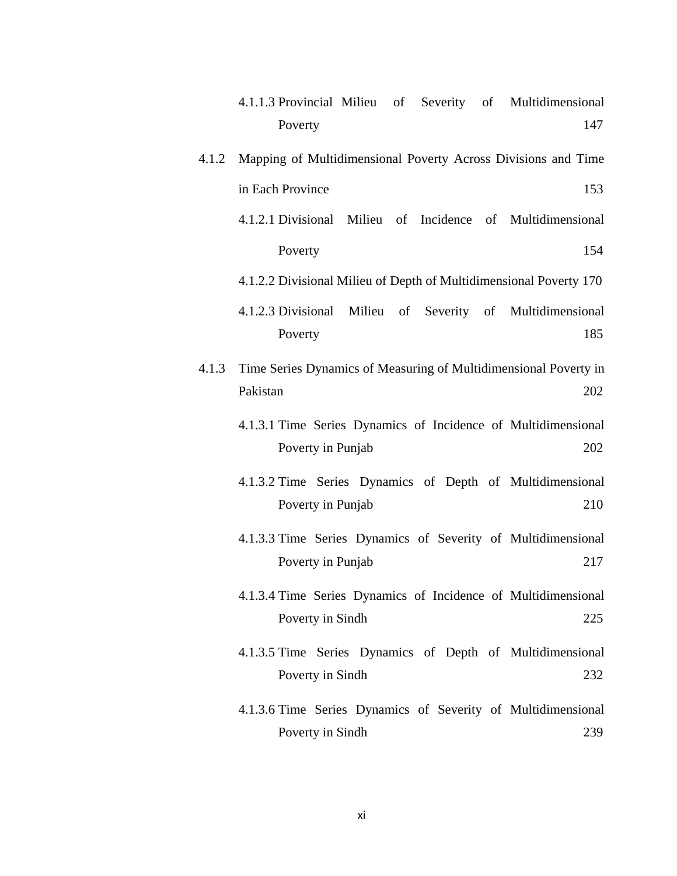- 4.1.1.3 Provincial Milieu of Severity of Multidimensional Poverty 147
- 4.1.2 Mapping of Multidimensional Poverty Across Divisions and Time in Each Province 153
	- 4.1.2.1 Divisional Milieu of Incidence of Multidimensional Poverty 154
	- 4.1.2.2 Divisional Milieu of Depth of Multidimensional Poverty 170
	- 4.1.2.3 Divisional Milieu of Severity of Multidimensional Poverty 185
- 4.1.3 Time Series Dynamics of Measuring of Multidimensional Poverty in Pakistan 202
	- 4.1.3.1 Time Series Dynamics of Incidence of Multidimensional Poverty in Punjab 202
	- 4.1.3.2 Time Series Dynamics of Depth of Multidimensional Poverty in Punjab 210
	- 4.1.3.3 Time Series Dynamics of Severity of Multidimensional Poverty in Punjab 217
	- 4.1.3.4 Time Series Dynamics of Incidence of Multidimensional Poverty in Sindh 225
	- 4.1.3.5 Time Series Dynamics of Depth of Multidimensional Poverty in Sindh 232
	- 4.1.3.6 Time Series Dynamics of Severity of Multidimensional Poverty in Sindh 239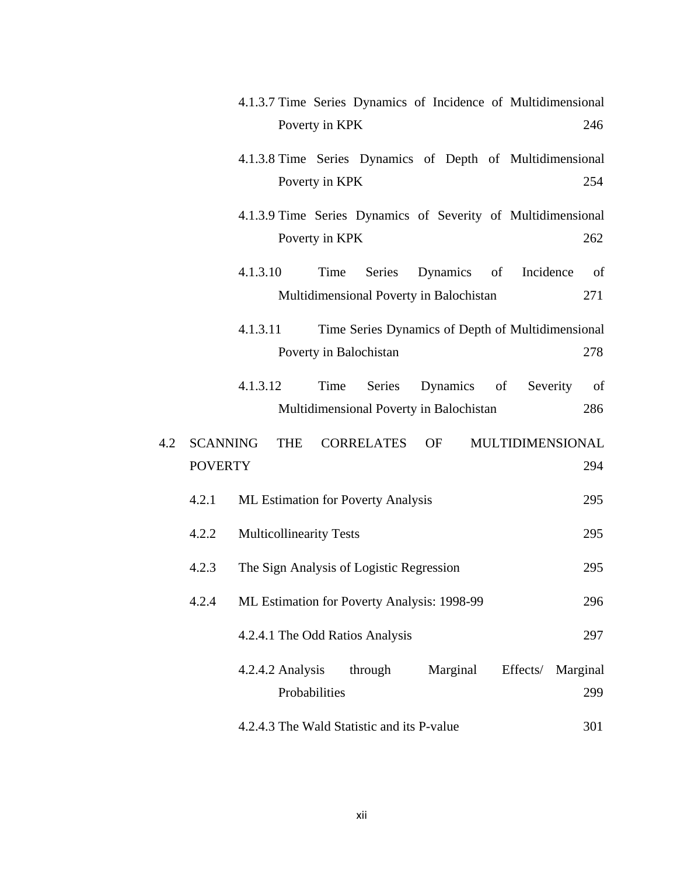|     |                 | 4.1.3.7 Time Series Dynamics of Incidence of Multidimensional    |               |
|-----|-----------------|------------------------------------------------------------------|---------------|
|     |                 | Poverty in KPK                                                   | 246           |
|     |                 | 4.1.3.8 Time Series Dynamics of Depth of Multidimensional        |               |
|     |                 | Poverty in KPK                                                   | 254           |
|     |                 | 4.1.3.9 Time Series Dynamics of Severity of Multidimensional     |               |
|     |                 | Poverty in KPK                                                   | 262           |
|     |                 | Series<br>Dynamics of Incidence<br>4.1.3.10<br>Time              | <sub>of</sub> |
|     |                 | Multidimensional Poverty in Balochistan                          | 271           |
|     |                 | 4.1.3.11<br>Time Series Dynamics of Depth of Multidimensional    |               |
|     |                 | Poverty in Balochistan                                           | 278           |
|     |                 | 4.1.3.12<br>Time<br>Series<br>Dynamics<br>of<br>Severity         | of            |
|     |                 | Multidimensional Poverty in Balochistan                          | 286           |
| 4.2 | <b>SCANNING</b> | <b>THE</b><br><b>CORRELATES</b><br><b>OF</b><br>MULTIDIMENSIONAL |               |
|     | <b>POVERTY</b>  |                                                                  | 294           |
|     | 4.2.1           | <b>ML Estimation for Poverty Analysis</b>                        | 295           |
|     | 4.2.2           | <b>Multicollinearity Tests</b>                                   | 295           |
|     | 4.2.3           | The Sign Analysis of Logistic Regression                         | 295           |
|     | 4.2.4           | ML Estimation for Poverty Analysis: 1998-99                      | 296           |
|     |                 | 4.2.4.1 The Odd Ratios Analysis                                  | 297           |
|     |                 | 4.2.4.2 Analysis<br>through<br>Marginal<br>Effects/<br>Marginal  |               |
|     |                 | Probabilities                                                    | 299           |
|     |                 | 4.2.4.3 The Wald Statistic and its P-value                       | 301           |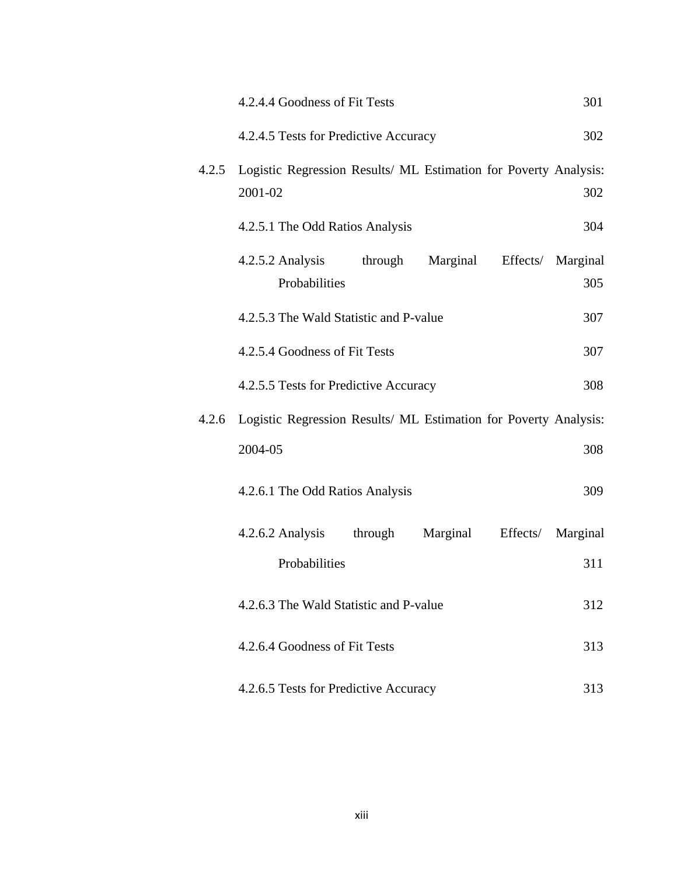|       | 4.2.4.4 Goodness of Fit Tests                                               |          |          | 301                      |
|-------|-----------------------------------------------------------------------------|----------|----------|--------------------------|
|       | 4.2.4.5 Tests for Predictive Accuracy                                       |          |          | 302                      |
| 4.2.5 | Logistic Regression Results/ ML Estimation for Poverty Analysis:<br>2001-02 |          |          | 302                      |
|       | 4.2.5.1 The Odd Ratios Analysis                                             |          |          | 304                      |
|       | 4.2.5.2 Analysis<br>through<br>Probabilities                                | Marginal |          | Effects/ Marginal<br>305 |
|       | 4.2.5.3 The Wald Statistic and P-value                                      |          |          | 307                      |
|       | 4.2.5.4 Goodness of Fit Tests                                               |          |          | 307                      |
|       | 4.2.5.5 Tests for Predictive Accuracy                                       |          |          | 308                      |
| 4.2.6 | Logistic Regression Results/ ML Estimation for Poverty Analysis:            |          |          |                          |
|       | 2004-05                                                                     |          |          | 308                      |
|       | 4.2.6.1 The Odd Ratios Analysis                                             |          |          | 309                      |
|       | 4.2.6.2 Analysis<br>through                                                 | Marginal | Effects/ | Marginal                 |
|       | Probabilities                                                               |          |          | 311                      |
|       | 4.2.6.3 The Wald Statistic and P-value                                      |          |          | 312                      |
|       | 4.2.6.4 Goodness of Fit Tests                                               |          |          | 313                      |
|       | 4.2.6.5 Tests for Predictive Accuracy                                       |          |          | 313                      |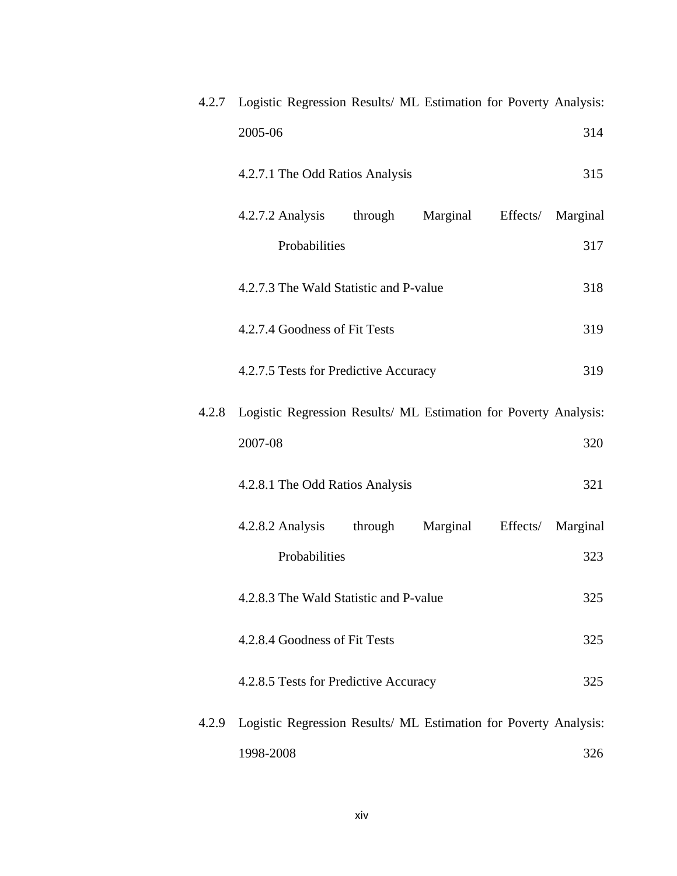|       | 4.2.7 Logistic Regression Results/ ML Estimation for Poverty Analysis: |          |
|-------|------------------------------------------------------------------------|----------|
|       | 2005-06                                                                | 314      |
|       | 4.2.7.1 The Odd Ratios Analysis                                        | 315      |
|       | through<br>Marginal<br>4.2.7.2 Analysis<br>Effects/                    | Marginal |
|       | Probabilities                                                          | 317      |
|       | 4.2.7.3 The Wald Statistic and P-value                                 | 318      |
|       | 4.2.7.4 Goodness of Fit Tests                                          | 319      |
|       | 4.2.7.5 Tests for Predictive Accuracy                                  | 319      |
| 4.2.8 | Logistic Regression Results/ ML Estimation for Poverty Analysis:       |          |
|       | 2007-08                                                                | 320      |
|       | 4.2.8.1 The Odd Ratios Analysis                                        | 321      |
|       | through<br>Marginal<br>4.2.8.2 Analysis<br>Effects/                    | Marginal |
|       | Probabilities                                                          | 323      |
|       | 4.2.8.3 The Wald Statistic and P-value                                 | 325      |
|       | 4.2.8.4 Goodness of Fit Tests                                          | 325      |
|       | 4.2.8.5 Tests for Predictive Accuracy                                  | 325      |
| 4.2.9 | Logistic Regression Results/ ML Estimation for Poverty Analysis:       |          |
|       | 1998-2008                                                              | 326      |